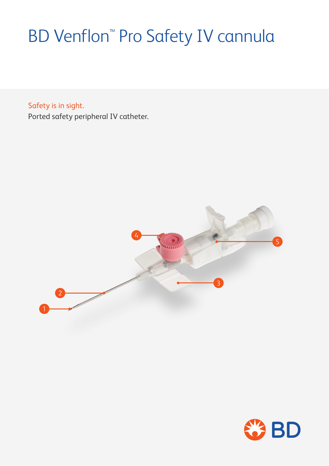# BD Venflon™ Pro Safety IV cannula

Safety is in sight. Ported safety peripheral IV catheter.